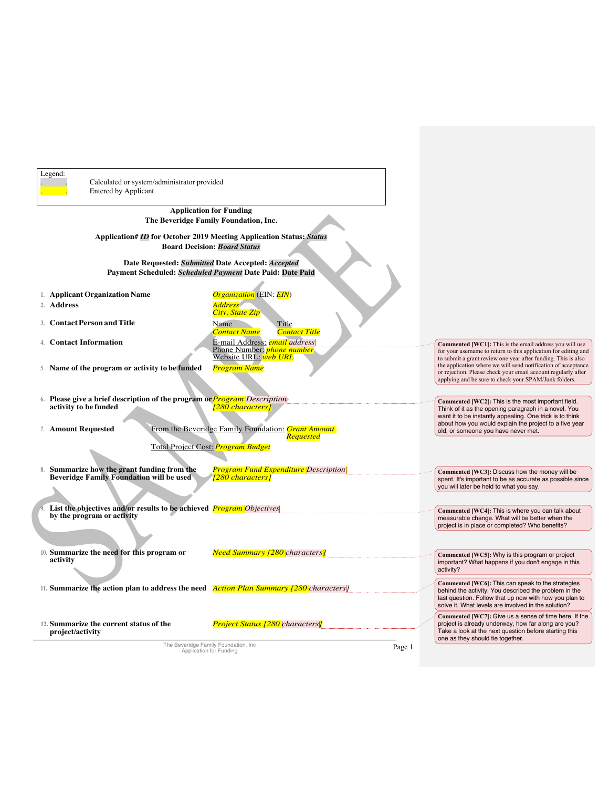| Legend:<br>Calculated or system/administrator provided<br><b>Entered by Applicant</b>                                           |                                                                                                                   |        |                                                                                                                                                                                                                                                                         |
|---------------------------------------------------------------------------------------------------------------------------------|-------------------------------------------------------------------------------------------------------------------|--------|-------------------------------------------------------------------------------------------------------------------------------------------------------------------------------------------------------------------------------------------------------------------------|
|                                                                                                                                 | <b>Application for Funding</b><br>The Beveridge Family Foundation, Inc.                                           |        |                                                                                                                                                                                                                                                                         |
|                                                                                                                                 | <b>Application# ID for October 2019 Meeting Application Status: Status</b><br><b>Board Decision: Board Status</b> |        |                                                                                                                                                                                                                                                                         |
|                                                                                                                                 | Date Requested: Submitted Date Accepted: Accepted<br>Payment Scheduled: Scheduled Payment Date Paid: Date Paid    |        |                                                                                                                                                                                                                                                                         |
| 1. Applicant Organization Name<br>2. Address                                                                                    | <b>Organization</b> (EIN: <i>EIN</i> )<br><b>Address</b><br>City. State Zip                                       |        |                                                                                                                                                                                                                                                                         |
| 3. Contact Person and Title                                                                                                     | Name<br>Title<br>Contact Name<br><b>Contact Title</b>                                                             |        |                                                                                                                                                                                                                                                                         |
| 4. Contact Information                                                                                                          | E-mail Address: <b>email</b> address<br>Phone Number: <i>phone number</i><br>Website URL: <i>web URL</i>          |        | <b>Commented [WC1]:</b> This is the email address you will use<br>for your username to return to this application for editing and<br>to submit a grant review one year after funding. This is also                                                                      |
| 5. Name of the program or activity to be funded                                                                                 | <b>Program Name</b>                                                                                               |        | the application where we will send notification of acceptance<br>or rejection. Please check your email account regularly after<br>applying and be sure to check your SPAM/Junk folders.                                                                                 |
| 6. Please give a brief description of the program or <i>Program Description</i><br>activity to be funded<br>7. Amount Requested | [280 characters]<br>From the Beveridge Family Foundation: <b>Grant Amount</b><br>Requested                        |        | Commented [WC2]: This is the most important field.<br>Think of it as the opening paragraph in a novel. You<br>want it to be instantly appealing. One trick is to think<br>about how you would explain the project to a five year<br>old, or someone you have never met. |
|                                                                                                                                 | <b>Total Project Cost:</b> <i>Program Budget</i>                                                                  |        |                                                                                                                                                                                                                                                                         |
| 8. Summarize how the grant funding from the<br><b>Beveridge Family Foundation will be used</b>                                  | <b>Program Fund Expenditure Description</b><br>[280 characters]                                                   |        | Commented [WC3]: Discuss how the money will be<br>spent. It's important to be as accurate as possible since<br>you will later be held to what you say.                                                                                                                  |
| List the objectives and/or results to be achieved <i>Program Objectives</i><br>by the program or activity                       |                                                                                                                   |        | Commented [WC4]: This is where you can talk about<br>measurable change. What will be better when the<br>project is in place or completed? Who benefits?                                                                                                                 |
| 10. Summarize the need for this program or<br>activity                                                                          | <b>Need Summary [280 characters]</b>                                                                              |        | Commented [WC5]: Why is this program or project<br>important? What happens if you don't engage in this<br>activity?                                                                                                                                                     |
| 11. Summarize the action plan to address the need Action Plan Summary [280 characters]                                          |                                                                                                                   |        | Commented [WC6]: This can speak to the strategies<br>behind the activity. You described the problem in the<br>last question. Follow that up now with how you plan to<br>solve it. What levels are involved in the solution?                                             |
| 12. Summarize the current status of the<br>project/activity                                                                     | <b>Project Status [280 characters]</b>                                                                            |        | Commented [WC7]: Give us a sense of time here. If the<br>project is already underway, how far along are you?<br>Take a look at the next question before starting this<br>one as they should tie together.                                                               |
|                                                                                                                                 | The Beveridge Family Foundation, Inc.<br>Application for Funding                                                  | Page 1 |                                                                                                                                                                                                                                                                         |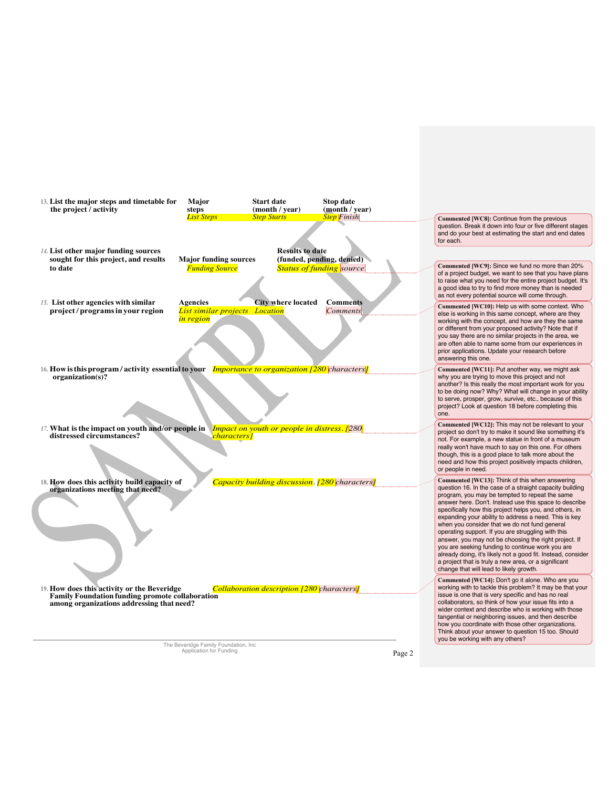| 13. List the major steps and timetable for<br>the project / activity                                                                               | Major<br>steps<br><b>List Steps</b>                                   | <b>Start date</b><br>(month / year)<br><b>Step Starts</b> | Stop date<br>(month / year)<br><b>Step</b> Finish | Commented [WC8]: Continue from the previous                                                                                                                                                                                                                                                                                                                                                                                                                                                                                                                                                                                                                                                                                       |
|----------------------------------------------------------------------------------------------------------------------------------------------------|-----------------------------------------------------------------------|-----------------------------------------------------------|---------------------------------------------------|-----------------------------------------------------------------------------------------------------------------------------------------------------------------------------------------------------------------------------------------------------------------------------------------------------------------------------------------------------------------------------------------------------------------------------------------------------------------------------------------------------------------------------------------------------------------------------------------------------------------------------------------------------------------------------------------------------------------------------------|
|                                                                                                                                                    |                                                                       |                                                           |                                                   | question. Break it down into four or five different stages<br>and do your best at estimating the start and end dates<br>for each.                                                                                                                                                                                                                                                                                                                                                                                                                                                                                                                                                                                                 |
| 14. List other major funding sources<br>sought for this project, and results                                                                       | <b>Major funding sources</b>                                          | <b>Results to date</b>                                    | (funded, pending, denied)                         |                                                                                                                                                                                                                                                                                                                                                                                                                                                                                                                                                                                                                                                                                                                                   |
| to date                                                                                                                                            | <b>Funding Source</b>                                                 |                                                           | <b>Status of funding</b> source                   | Commented [WC9]: Since we fund no more than 20%<br>of a project budget, we want to see that you have plans<br>to raise what you need for the entire project budget. It's<br>a good idea to try to find more money than is needed<br>as not every potential source will come through.                                                                                                                                                                                                                                                                                                                                                                                                                                              |
| 15. List other agencies with similar<br>project/programs in your region                                                                            | <b>Agencies</b><br><b>List similar projects</b> Location<br>in region | <b>City where located</b>                                 | <b>Comments</b><br>Comments                       | Commented [WC10]: Help us with some context. Who<br>else is working in this same concept, where are they<br>working with the concept, and how are they the same<br>or different from your proposed activity? Note that if<br>you say there are no similar projects in the area, we<br>are often able to name some from our experiences in<br>prior applications. Update your research before<br>answering this one.                                                                                                                                                                                                                                                                                                               |
| 16. How is this program/activity essential to your <i>Importance to organization [280 characters]</i><br>organization(s)?                          |                                                                       |                                                           |                                                   | Commented [WC11]: Put another way, we might ask<br>why you are trying to move this project and not<br>another? Is this really the most important work for you<br>to be doing now? Why? What will change in your ability<br>to serve, prosper, grow, survive, etc., because of this<br>project? Look at question 18 before completing this<br>one.                                                                                                                                                                                                                                                                                                                                                                                 |
| 17. What is the impact on youth and/or people in <i>Impact on youth or people in distress</i> . [280]<br>distressed circumstances?                 | characters]                                                           |                                                           |                                                   | Commented [WC12]: This may not be relevant to your<br>project so don't try to make it sound like something it's<br>not. For example, a new statue in front of a museum<br>really won't have much to say on this one. For others<br>though, this is a good place to talk more about the<br>need and how this project positively impacts children,<br>or people in need.                                                                                                                                                                                                                                                                                                                                                            |
| 18. How does this activity build capacity of<br>organizations meeting that need?                                                                   |                                                                       | <b>Capacity building discussion.</b> [280 characters]     |                                                   | Commented [WC13]: Think of this when answering<br>question 16. In the case of a straight capacity building<br>program, you may be tempted to repeat the same<br>answer here. Don't. Instead use this space to describe<br>specifically how this project helps you, and others, in<br>expanding your ability to address a need. This is key<br>when you consider that we do not fund general<br>operating support. If you are struggling with this<br>answer, you may not be choosing the right project. If<br>you are seeking funding to continue work you are<br>already doing, it's likely not a good fit. Instead, consider<br>a project that is truly a new area, or a significant<br>change that will lead to likely growth. |
| 19. How does this activity or the Beveridge<br><b>Family Foundation funding promote collaboration</b><br>among organizations addressing that need? | The Beveridge Family Foundation, Inc.                                 | <b>Collaboration description [280</b> characters]         |                                                   | Commented [WC14]: Don't go it alone. Who are you<br>working with to tackle this problem? It may be that your<br>issue is one that is very specific and has no real<br>collaborators, so think of how your issue fits into a<br>wider context and describe who is working with those<br>tangential or neighboring issues, and then describe<br>how you coordinate with those other organizations.<br>Think about your answer to question 15 too. Should<br>you be working with any others?                                                                                                                                                                                                                                         |
|                                                                                                                                                    | Application for Funding                                               |                                                           | Page 2                                            |                                                                                                                                                                                                                                                                                                                                                                                                                                                                                                                                                                                                                                                                                                                                   |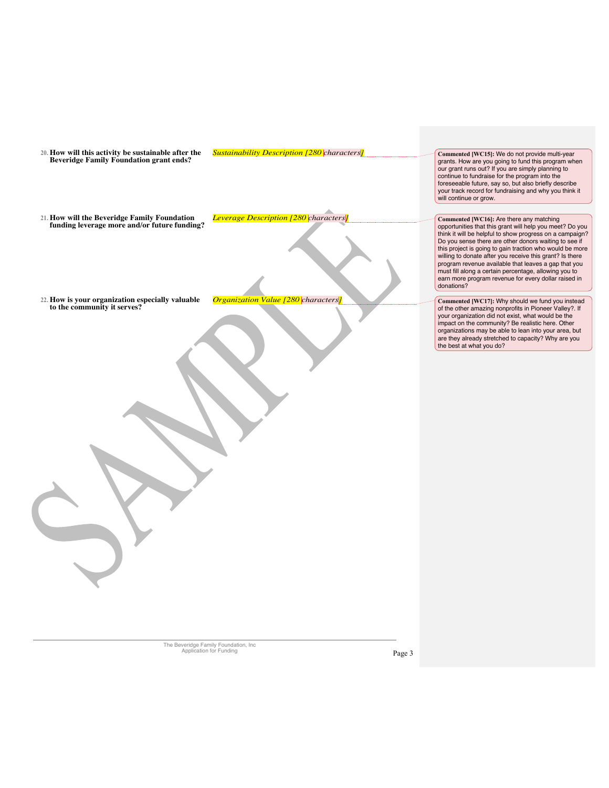**20. How will this activity be sustainable after the** *Sustainability Description [280 characters]* **Beveridge Family Foundation grant ends?**

**21. How will the Beveridge Family Foundation** *Leverage Description [280 characters]* **funding leverage more and/or future funding?**

**22. How is your organization especially valuable** *Organization Value [280 characters]* **to the community it serves?**

**Commented [WC15]:** We do not provide multi-year grants. How are you going to fund this program when our grant runs out? If you are simply planning to continue to fundraise for the program into the foreseeable future, say so, but also briefly describe your track record for fundraising and why you think it will continue or grow.

**Commented [WC16]:** Are there any matching opportunities that this grant will help you meet? Do you think it will be helpful to show progress on a campaign? Do you sense there are other donors waiting to see if this project is going to gain traction who would be more willing to donate after you receive this grant? Is there program revenue available that leaves a gap that you must fill along a certain percentage, allowing you to earn more program revenue for every dollar raised in donations?

**Commented [WC17]:** Why should we fund you instead of the other amazing nonprofits in Pioneer Valley?. If your organization did not exist, what would be the impact on the community? Be realistic here. Other organizations may be able to lean into your area, but are they already stretched to capacity? Why are you the best at what you do?

The Beveridge Family Foundation, Inc<br>Application for Funding Page 3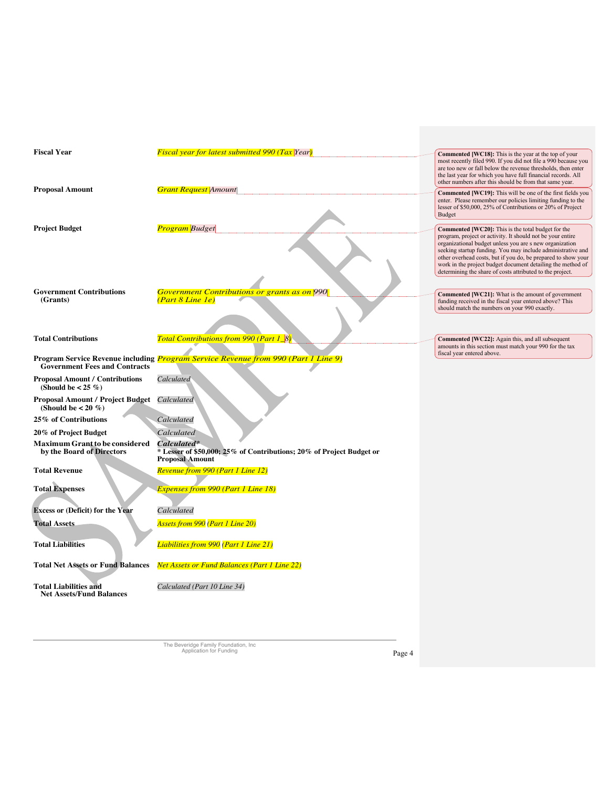| <b>Fiscal Year</b>                                                 | <b>Fiscal year for latest submitted 990 (Tax Year)</b>                                                        | <b>Commented [WC18]:</b> This is the year at the top of your<br>most recently filed 990. If you did not file a 990 because you<br>are too new or fall below the revenue thresholds, then enter<br>the last year for which you have full financial records. All<br>other numbers after this should be from that same year.                                                                                                               |
|--------------------------------------------------------------------|---------------------------------------------------------------------------------------------------------------|-----------------------------------------------------------------------------------------------------------------------------------------------------------------------------------------------------------------------------------------------------------------------------------------------------------------------------------------------------------------------------------------------------------------------------------------|
| <b>Proposal Amount</b>                                             | <b>Grant Request</b> Amount                                                                                   | Commented [WC19]: This will be one of the first fields you<br>enter. Please remember our policies limiting funding to the<br>lesser of \$50,000, 25% of Contributions or 20% of Project<br>Budget                                                                                                                                                                                                                                       |
| <b>Project Budget</b>                                              | <b>Program</b> Budget                                                                                         | Commented [WC20]: This is the total budget for the<br>program, project or activity. It should not be your entire<br>organizational budget unless you are s new organization<br>seeking startup funding. You may include administrative and<br>other overhead costs, but if you do, be prepared to show your<br>work in the project budget document detailing the method of<br>determining the share of costs attributed to the project. |
| <b>Government Contributions</b><br>(Grants)                        | <b>Government Contributions or grants as on 990</b><br>(Part 8 Line 1e)                                       | Commented [WC21]: What is the amount of government<br>funding received in the fiscal year entered above? This<br>should match the numbers on your 990 exactly.                                                                                                                                                                                                                                                                          |
| <b>Total Contributions</b>                                         | <b>Total Contributions from 990 (Part 1_8)</b>                                                                | Commented [WC22]: Again this, and all subsequent<br>amounts in this section must match your 990 for the tax                                                                                                                                                                                                                                                                                                                             |
| <b>Government Fees and Contracts</b>                               | Program Service Revenue including <i>Program Service Revenue from 990 (Part 1 Line 9)</i>                     | fiscal year entered above.                                                                                                                                                                                                                                                                                                                                                                                                              |
| <b>Proposal Amount / Contributions</b><br>(Should be $< 25 \%$ )   | Calculated                                                                                                    |                                                                                                                                                                                                                                                                                                                                                                                                                                         |
| <b>Proposal Amount / Project Budget</b><br>(Should be $< 20 \%$ )  | Calculated                                                                                                    |                                                                                                                                                                                                                                                                                                                                                                                                                                         |
| 25% of Contributions                                               | Calculated                                                                                                    |                                                                                                                                                                                                                                                                                                                                                                                                                                         |
| 20% of Project Budget                                              | Calculated                                                                                                    |                                                                                                                                                                                                                                                                                                                                                                                                                                         |
| <b>Maximum Grant to be considered</b><br>by the Board of Directors | Calculated*<br>* Lesser of \$50,000; 25% of Contributions; 20% of Project Budget or<br><b>Proposal Amount</b> |                                                                                                                                                                                                                                                                                                                                                                                                                                         |
| <b>Total Revenue</b>                                               | <b>Revenue from 990 (Part 1 Line 12)</b>                                                                      |                                                                                                                                                                                                                                                                                                                                                                                                                                         |
| <b>Total Expenses</b>                                              | <b>Expenses from 990 (Part 1 Line 18)</b>                                                                     |                                                                                                                                                                                                                                                                                                                                                                                                                                         |
| <b>Excess or (Deficit) for the Year</b>                            | Calculated                                                                                                    |                                                                                                                                                                                                                                                                                                                                                                                                                                         |
| <b>Total Assets</b>                                                | <b>Assets from 990 (Part 1 Line 20)</b>                                                                       |                                                                                                                                                                                                                                                                                                                                                                                                                                         |
| <b>Total Liabilities</b>                                           | <b>Liabilities from 990 (Part 1 Line 21)</b>                                                                  |                                                                                                                                                                                                                                                                                                                                                                                                                                         |
| <b>Total Net Assets or Fund Balances</b>                           | <b>Net Assets or Fund Balances (Part 1 Line 22)</b>                                                           |                                                                                                                                                                                                                                                                                                                                                                                                                                         |
| <b>Total Liabilities and</b><br><b>Net Assets/Fund Balances</b>    | Calculated (Part 10 Line 34)                                                                                  |                                                                                                                                                                                                                                                                                                                                                                                                                                         |
|                                                                    |                                                                                                               |                                                                                                                                                                                                                                                                                                                                                                                                                                         |

The Beveridge Family Foundation, Inc<br>Application for Funding Application for Funding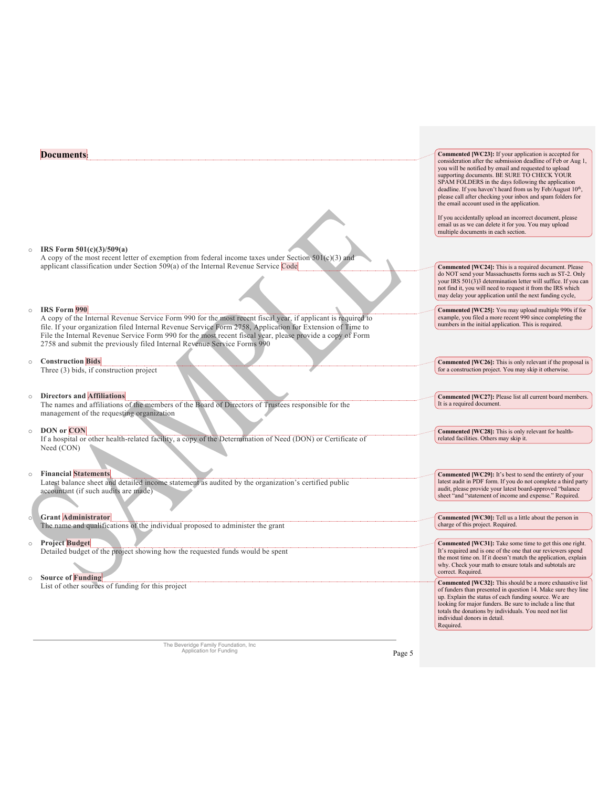# **Documents:**

o **IRS Form 501(c)(3)/509(a)**

A copy of the most recent letter of exemption from federal income taxes under Section 501(c)(3) and applicant classification under Section  $509(a)$  of the Internal Revenue Service Code

#### o **IRS Form 990**

A copy of the Internal Revenue Service Form 990 for the most recent fiscal year, if applicant is required to file. If your organization filed Internal Revenue Service Form 2758, Application for Extension of Time to File the Internal Revenue Service Form 990 for the most recent fiscal year, please provide a copy of Form 2758 and submit the previously filed Internal Revenue Service Forms 990

# o **Construction Bids**

Three (3) bids, if construction project

o **Directors and Affiliations**

The names and affiliations of the members of the Board of Directors of Trustees responsible for the management of the requesting organization

### o **DON or CON**

If a hospital or other health-related facility, a copy of the Determination of Need (DON) or Certificate of Need (CON)

# o **Financial Statements**

Latest balance sheet and detailed income statement as audited by the organization's certified public accountant (if such audits are made)

#### **Grant Administrator**

The name and qualifications of the individual proposed to administer the grant

### o **Project Budget**

Detailed budget of the project showing how the requested funds would be spent

#### o **Source of Funding**

List of other sources of funding for this project

The Beveridge Family Foundation, Inc<br>Application for Funding Page 5

**Commented [WC23]:** If your application is accepted for consideration after the submission deadline of Feb or Aug 1, you will be notified by email and requested to upload supporting documents. BE SURE TO CHECK YOUR<br>SPAM FOLDERS in the days following the application<br>deadline. If you haven't heard from us by Feb/August 10<sup>th</sup>, please call after checking your inbox and spam folders for the email account used in the application.

If you accidentally upload an incorrect document, please email us as we can delete it for you. You may upload multiple documents in each section.

**Commented [WC24]:** This is a required document. Please do NOT send your Massachusetts forms such as ST-2. Only your IRS 501(3)3 determination letter will suffice. If you can not find it, you will need to request it from the IRS which may delay your application until the next funding cycle,

**Commented [WC25]:** You may upload multiple 990s if for example, you filed a more recent 990 since completing the numbers in the initial application. This is required.

**Commented [WC26]:** This is only relevant if the proposal is for a construction project. You may skip it otherwise.

**Commented [WC27]:** Please list all current board members. It is a required document.

**Commented [WC28]:** This is only relevant for healthrelated facilities. Others may skip it.

**Commented [WC29]:** It's best to send the entirety of your latest audit in PDF form. If you do not complete a third party audit, please provide your latest board-approved "balance sheet "and "statement of income and expense." Required.

**Commented [WC30]:** Tell us a little about the person in charge of this project. Required.

**Commented [WC31]:** Take some time to get this one right. It's required and is one of the one that our reviewers spend the most time on. If it doesn't match the application, explain why. Check your math to ensure totals and subtotals are correct. Required.

**Commented [WC32]:** This should be a more exhaustive list of funders than presented in question 14. Make sure they line up. Explain the status of each funding source. We are looking for major funders. Be sure to include a line that totals the donations by individuals. You need not list individual donors in detail. Required.